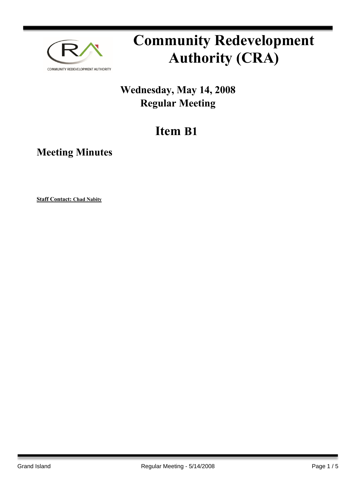

# **Community Redevelopment Authority (CRA)**

### **Wednesday, May 14, 2008 Regular Meeting**

## **Item B1**

**Meeting Minutes**

**Staff Contact: Chad Nabity**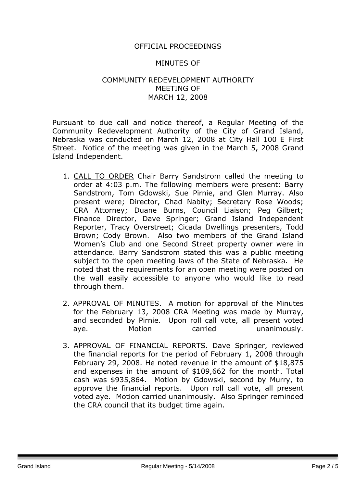#### OFFICIAL PROCEEDINGS

#### MINUTES OF

#### COMMUNITY REDEVELOPMENT AUTHORITY MEETING OF MARCH 12, 2008

Pursuant to due call and notice thereof, a Regular Meeting of the Community Redevelopment Authority of the City of Grand Island, Nebraska was conducted on March 12, 2008 at City Hall 100 E First Street. Notice of the meeting was given in the March 5, 2008 Grand Island Independent.

- 1. CALL TO ORDER Chair Barry Sandstrom called the meeting to order at 4:03 p.m. The following members were present: Barry Sandstrom, Tom Gdowski, Sue Pirnie, and Glen Murray. Also present were; Director, Chad Nabity; Secretary Rose Woods; CRA Attorney; Duane Burns, Council Liaison; Peg Gilbert; Finance Director, Dave Springer; Grand Island Independent Reporter, Tracy Overstreet; Cicada Dwellings presenters, Todd Brown; Cody Brown. Also two members of the Grand Island Women's Club and one Second Street property owner were in attendance. Barry Sandstrom stated this was a public meeting subject to the open meeting laws of the State of Nebraska. He noted that the requirements for an open meeting were posted on the wall easily accessible to anyone who would like to read through them.
- 2. APPROVAL OF MINUTES. A motion for approval of the Minutes for the February 13, 2008 CRA Meeting was made by Murray, and seconded by Pirnie. Upon roll call vote, all present voted aye. Motion carried unanimously.
- 3. APPROVAL OF FINANCIAL REPORTS. Dave Springer, reviewed the financial reports for the period of February 1, 2008 through February 29, 2008. He noted revenue in the amount of \$18,875 and expenses in the amount of \$109,662 for the month. Total cash was \$935,864. Motion by Gdowski, second by Murry, to approve the financial reports. Upon roll call vote, all present voted aye. Motion carried unanimously. Also Springer reminded the CRA council that its budget time again.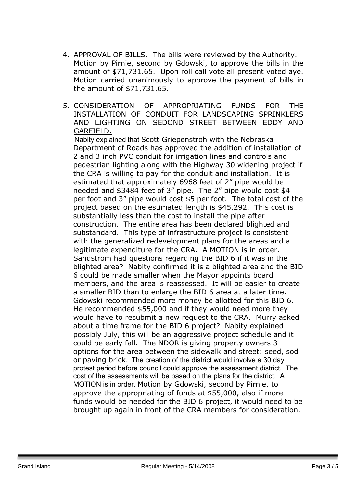- 4. APPROVAL OF BILLS. The bills were reviewed by the Authority. Motion by Pirnie, second by Gdowski, to approve the bills in the amount of \$71,731.65. Upon roll call vote all present voted aye. Motion carried unanimously to approve the payment of bills in the amount of \$71,731.65.
- 5. CONSIDERATION OF APPROPRIATING FUNDS FOR THE INSTALLATION OF CONDUIT FOR LANDSCAPING SPRINKLERS AND LIGHTING ON SEDOND STREET BETWEEN EDDY AND GARFIELD.

 Nabity explained that Scott Griepenstroh with the Nebraska Department of Roads has approved the addition of installation of 2 and 3 inch PVC conduit for irrigation lines and controls and pedestrian lighting along with the Highway 30 widening project if the CRA is willing to pay for the conduit and installation. It is estimated that approximately 6968 feet of 2" pipe would be needed and \$3484 feet of 3" pipe. The 2" pipe would cost \$4 per foot and 3" pipe would cost \$5 per foot. The total cost of the project based on the estimated length is \$45,292. This cost is substantially less than the cost to install the pipe after construction. The entire area has been declared blighted and substandard. This type of infrastructure project is consistent with the generalized redevelopment plans for the areas and a legitimate expenditure for the CRA. A MOTION is in order. Sandstrom had questions regarding the BID 6 if it was in the blighted area? Nabity confirmed it is a blighted area and the BID 6 could be made smaller when the Mayor appoints board members, and the area is reassessed. It will be easier to create a smaller BID than to enlarge the BID 6 area at a later time. Gdowski recommended more money be allotted for this BID 6. He recommended \$55,000 and if they would need more they would have to resubmit a new request to the CRA. Murry asked about a time frame for the BID 6 project? Nabity explained possibly July, this will be an aggressive project schedule and it could be early fall. The NDOR is giving property owners 3 options for the area between the sidewalk and street: seed, sod or paving brick. The creation of the district would involve a 30 day protest period before council could approve the assessment district. The cost of the assessments will be based on the plans for the district. A MOTION is in order. Motion by Gdowski, second by Pirnie, to approve the appropriating of funds at \$55,000, also if more funds would be needed for the BID 6 project, it would need to be brought up again in front of the CRA members for consideration.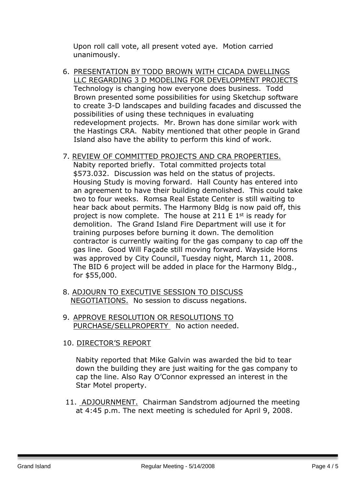Upon roll call vote, all present voted aye. Motion carried unanimously.

6. PRESENTATION BY TODD BROWN WITH CICADA DWELLINGS LLC REGARDING 3 D MODELING FOR DEVELOPMENT PROJECTS Technology is changing how everyone does business. Todd Brown presented some possibilities for using Sketchup software to create 3-D landscapes and building facades and discussed the possibilities of using these techniques in evaluating redevelopment projects. Mr. Brown has done similar work with the Hastings CRA. Nabity mentioned that other people in Grand Island also have the ability to perform this kind of work.

#### 7. REVIEW OF COMMITTED PROJECTS AND CRA PROPERTIES.

Nabity reported briefly. Total committed projects total \$573.032. Discussion was held on the status of projects. Housing Study is moving forward. Hall County has entered into an agreement to have their building demolished. This could take two to four weeks. Romsa Real Estate Center is still waiting to hear back about permits. The Harmony Bldg is now paid off, this project is now complete. The house at 211 E  $1<sup>st</sup>$  is ready for demolition. The Grand Island Fire Department will use it for training purposes before burning it down. The demolition contractor is currently waiting for the gas company to cap off the gas line. Good Will Façade still moving forward. Wayside Horns was approved by City Council, Tuesday night, March 11, 2008. The BID 6 project will be added in place for the Harmony Bldg., for \$55,000.

- 8. ADJOURN TO EXECUTIVE SESSION TO DISCUSS NEGOTIATIONS. No session to discuss negations.
- 9. APPROVE RESOLUTION OR RESOLUTIONS TO PURCHASE/SELLPROPERTY No action needed.

#### 10. DIRECTOR'S REPORT

Nabity reported that Mike Galvin was awarded the bid to tear down the building they are just waiting for the gas company to cap the line. Also Ray O'Connor expressed an interest in the Star Motel property.

11. ADJOURNMENT. Chairman Sandstrom adjourned the meeting at 4:45 p.m. The next meeting is scheduled for April 9, 2008.